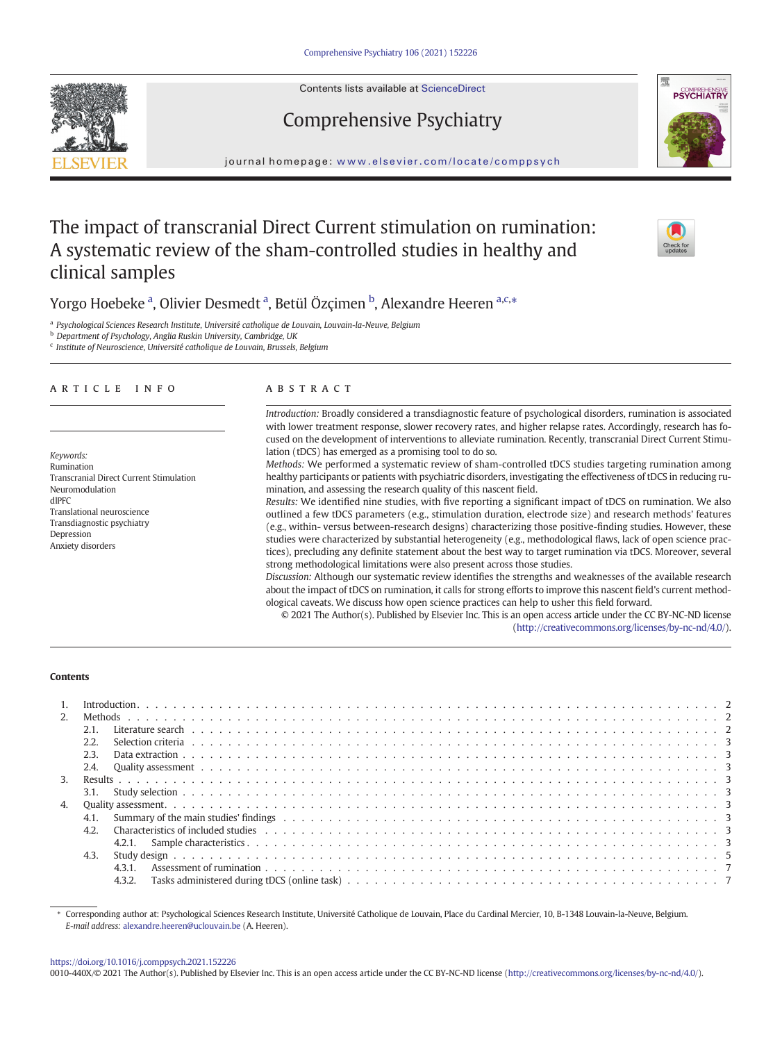Contents lists available at ScienceDirect

# Comprehensive Psychiatry

journal homepage: <www.elsevier.com/locate/comppsych>

## The impact of transcranial Direct Current stimulation on rumination: A systematic review of the sham-controlled studies in healthy and clinical samples

Yorgo Hoebeke <sup>a</sup>, Olivier Desmedt <sup>a</sup>, Betül Özçimen <sup>b</sup>, Alexandre Heeren <sup>a,c,</sup>\*

<sup>a</sup> Psychological Sciences Research Institute, Université catholique de Louvain, Louvain-la-Neuve, Belgium

**b** Department of Psychology, Anglia Ruskin University, Cambridge, UK

<sup>c</sup> Institute of Neuroscience, Université catholique de Louvain, Brussels, Belgium

### article info abstract

Keywords: Rumination Transcranial Direct Current Stimulation Neuromodulation dlPFC Translational neuroscience Transdiagnostic psychiatry Depression Anxiety disorders

Introduction: Broadly considered a transdiagnostic feature of psychological disorders, rumination is associated with lower treatment response, slower recovery rates, and higher relapse rates. Accordingly, research has focused on the development of interventions to alleviate rumination. Recently, transcranial Direct Current Stimulation (tDCS) has emerged as a promising tool to do so.

Methods: We performed a systematic review of sham-controlled tDCS studies targeting rumination among healthy participants or patients with psychiatric disorders, investigating the effectiveness of tDCS in reducing rumination, and assessing the research quality of this nascent field.

Results: We identified nine studies, with five reporting a significant impact of tDCS on rumination. We also outlined a few tDCS parameters (e.g., stimulation duration, electrode size) and research methods' features (e.g., within- versus between-research designs) characterizing those positive-finding studies. However, these studies were characterized by substantial heterogeneity (e.g., methodological flaws, lack of open science practices), precluding any definite statement about the best way to target rumination via tDCS. Moreover, several strong methodological limitations were also present across those studies.

Discussion: Although our systematic review identifies the strengths and weaknesses of the available research about the impact of tDCS on rumination, it calls for strong efforts to improve this nascent field's current methodological caveats. We discuss how open science practices can help to usher this field forward.

© 2021 The Author(s). Published by Elsevier Inc. This is an open access article under the CC BY-NC-ND license ([http://creativecommons.org/licenses/by-nc-nd/4.0/\)](http://creativecommons.org/licenses/by-nc-nd/4.0/).

#### Contents

| 2.            |        |  |
|---------------|--------|--|
|               |        |  |
|               | 2.2.   |  |
|               | 2.3.   |  |
|               | 2.4.   |  |
| $\mathcal{E}$ |        |  |
|               |        |  |
|               |        |  |
|               | 4.1.   |  |
|               | 42.    |  |
|               |        |  |
|               | 4.3.   |  |
|               | 4.3.1  |  |
|               | 4.3.2. |  |

⁎ Corresponding author at: Psychological Sciences Research Institute, Université Catholique de Louvain, Place du Cardinal Mercier, 10, B-1348 Louvain-la-Neuve, Belgium. E-mail address: [alexandre.heeren@uclouvain.be](mailto:alexandre.heeren@uclouvain.be) (A. Heeren).

#### <https://doi.org/10.1016/j.comppsych.2021.152226>

0010-440X/© 2021 The Author(s). Published by Elsevier Inc. This is an open access article under the CC BY-NC-ND license [\(http://creativecommons.org/licenses/by-nc-nd/4.0/\)](http://creativecommons.org/licenses/by-nc-nd/4.0/).





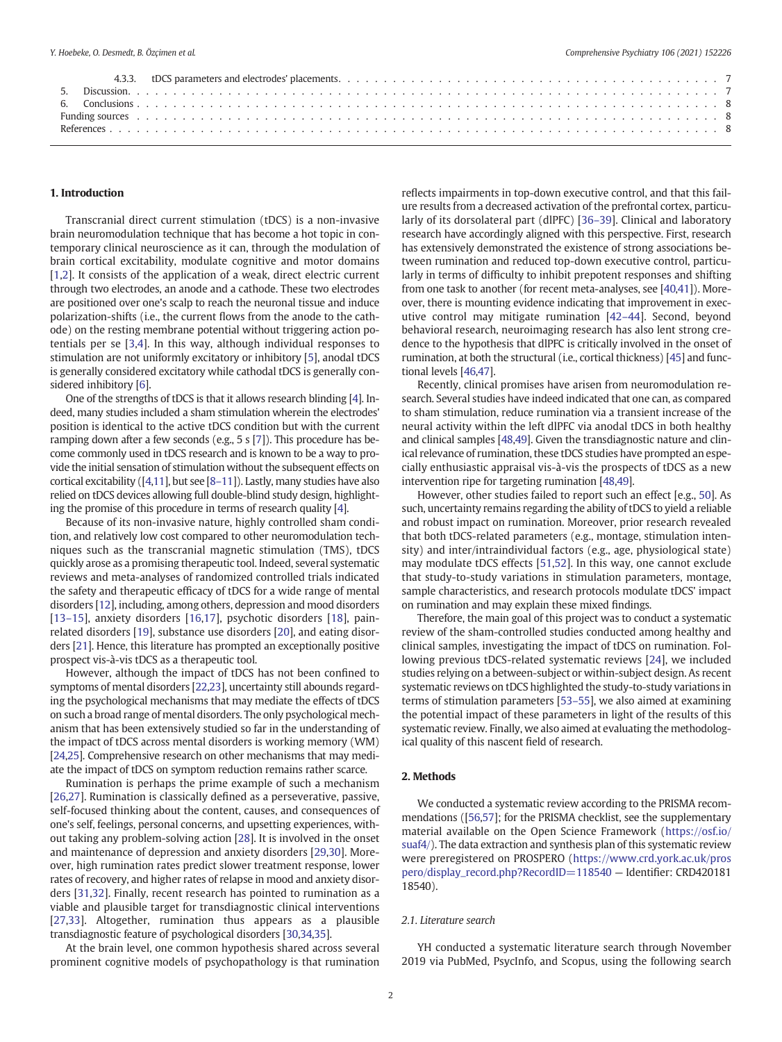#### 1. Introduction

Transcranial direct current stimulation (tDCS) is a non-invasive brain neuromodulation technique that has become a hot topic in contemporary clinical neuroscience as it can, through the modulation of brain cortical excitability, modulate cognitive and motor domains [[1,2](#page-7-0)]. It consists of the application of a weak, direct electric current through two electrodes, an anode and a cathode. These two electrodes are positioned over one's scalp to reach the neuronal tissue and induce polarization-shifts (i.e., the current flows from the anode to the cathode) on the resting membrane potential without triggering action potentials per se [\[3,4](#page-8-0)]. In this way, although individual responses to stimulation are not uniformly excitatory or inhibitory [[5](#page-8-0)], anodal tDCS is generally considered excitatory while cathodal tDCS is generally considered inhibitory [\[6\]](#page-8-0).

One of the strengths of tDCS is that it allows research blinding [\[4\]](#page-8-0). Indeed, many studies included a sham stimulation wherein the electrodes' position is identical to the active tDCS condition but with the current ramping down after a few seconds (e.g., 5 s [\[7](#page-8-0)]). This procedure has become commonly used in tDCS research and is known to be a way to provide the initial sensation of stimulation without the subsequent effects on cortical excitability ([[4](#page-8-0),[11\]](#page-8-0), but see [8–[11\]](#page-8-0)). Lastly, many studies have also relied on tDCS devices allowing full double-blind study design, highlighting the promise of this procedure in terms of research quality [\[4](#page-8-0)].

Because of its non-invasive nature, highly controlled sham condition, and relatively low cost compared to other neuromodulation techniques such as the transcranial magnetic stimulation (TMS), tDCS quickly arose as a promising therapeutic tool. Indeed, several systematic reviews and meta-analyses of randomized controlled trials indicated the safety and therapeutic efficacy of tDCS for a wide range of mental disorders [\[12](#page-8-0)], including, among others, depression and mood disorders [[13](#page-8-0)–15], anxiety disorders [\[16,17](#page-8-0)], psychotic disorders [\[18](#page-8-0)], painrelated disorders [\[19](#page-8-0)], substance use disorders [\[20\]](#page-8-0), and eating disorders [\[21\]](#page-8-0). Hence, this literature has prompted an exceptionally positive prospect vis-à-vis tDCS as a therapeutic tool.

However, although the impact of tDCS has not been confined to symptoms of mental disorders [\[22,23](#page-8-0)], uncertainty still abounds regarding the psychological mechanisms that may mediate the effects of tDCS on such a broad range of mental disorders. The only psychological mechanism that has been extensively studied so far in the understanding of the impact of tDCS across mental disorders is working memory (WM) [[24,25](#page-8-0)]. Comprehensive research on other mechanisms that may mediate the impact of tDCS on symptom reduction remains rather scarce.

Rumination is perhaps the prime example of such a mechanism [[26](#page-8-0),[27](#page-8-0)]. Rumination is classically defined as a perseverative, passive, self-focused thinking about the content, causes, and consequences of one's self, feelings, personal concerns, and upsetting experiences, without taking any problem-solving action [\[28\]](#page-8-0). It is involved in the onset and maintenance of depression and anxiety disorders [\[29,30\]](#page-8-0). Moreover, high rumination rates predict slower treatment response, lower rates of recovery, and higher rates of relapse in mood and anxiety disorders [\[31,32\]](#page-8-0). Finally, recent research has pointed to rumination as a viable and plausible target for transdiagnostic clinical interventions [[27,33](#page-8-0)]. Altogether, rumination thus appears as a plausible transdiagnostic feature of psychological disorders [\[30](#page-8-0),[34,35](#page-8-0)].

At the brain level, one common hypothesis shared across several prominent cognitive models of psychopathology is that rumination reflects impairments in top-down executive control, and that this failure results from a decreased activation of the prefrontal cortex, particularly of its dorsolateral part (dlPFC) [\[36](#page-8-0)–39]. Clinical and laboratory research have accordingly aligned with this perspective. First, research has extensively demonstrated the existence of strong associations between rumination and reduced top-down executive control, particularly in terms of difficulty to inhibit prepotent responses and shifting from one task to another (for recent meta-analyses, see [[40,41](#page-8-0)]). Moreover, there is mounting evidence indicating that improvement in executive control may mitigate rumination [42–[44\]](#page-8-0). Second, beyond behavioral research, neuroimaging research has also lent strong credence to the hypothesis that dlPFC is critically involved in the onset of rumination, at both the structural (i.e., cortical thickness) [\[45](#page-8-0)] and functional levels [\[46,47](#page-8-0)].

Recently, clinical promises have arisen from neuromodulation research. Several studies have indeed indicated that one can, as compared to sham stimulation, reduce rumination via a transient increase of the neural activity within the left dlPFC via anodal tDCS in both healthy and clinical samples [\[48,49](#page-8-0)]. Given the transdiagnostic nature and clinical relevance of rumination, these tDCS studies have prompted an especially enthusiastic appraisal vis-à-vis the prospects of tDCS as a new intervention ripe for targeting rumination [\[48,49\]](#page-8-0).

However, other studies failed to report such an effect [e.g., [50\]](#page-8-0). As such, uncertainty remains regarding the ability of tDCS to yield a reliable and robust impact on rumination. Moreover, prior research revealed that both tDCS-related parameters (e.g., montage, stimulation intensity) and inter/intraindividual factors (e.g., age, physiological state) may modulate tDCS effects [\[51,52\]](#page-8-0). In this way, one cannot exclude that study-to-study variations in stimulation parameters, montage, sample characteristics, and research protocols modulate tDCS' impact on rumination and may explain these mixed findings.

Therefore, the main goal of this project was to conduct a systematic review of the sham-controlled studies conducted among healthy and clinical samples, investigating the impact of tDCS on rumination. Following previous tDCS-related systematic reviews [[24\]](#page-8-0), we included studies relying on a between-subject or within-subject design. As recent systematic reviews on tDCS highlighted the study-to-study variations in terms of stimulation parameters [53–[55\]](#page-8-0), we also aimed at examining the potential impact of these parameters in light of the results of this systematic review. Finally, we also aimed at evaluating the methodological quality of this nascent field of research.

#### 2. Methods

We conducted a systematic review according to the PRISMA recommendations ([[56,](#page-8-0)[57](#page-9-0)]; for the PRISMA checklist, see the supplementary material available on the Open Science Framework ([https://osf.io/](https://osf.io/suaf4/) [suaf4/\)](https://osf.io/suaf4/). The data extraction and synthesis plan of this systematic review were preregistered on PROSPERO ([https://www.crd.york.ac.uk/pros](https://www.crd.york.ac.uk/prospero/display_record.php?RecordID=118540) [pero/display\\_record.php?RecordID=118540](https://www.crd.york.ac.uk/prospero/display_record.php?RecordID=118540) — Identifier: CRD420181 18540).

#### 2.1. Literature search

YH conducted a systematic literature search through November 2019 via PubMed, PsycInfo, and Scopus, using the following search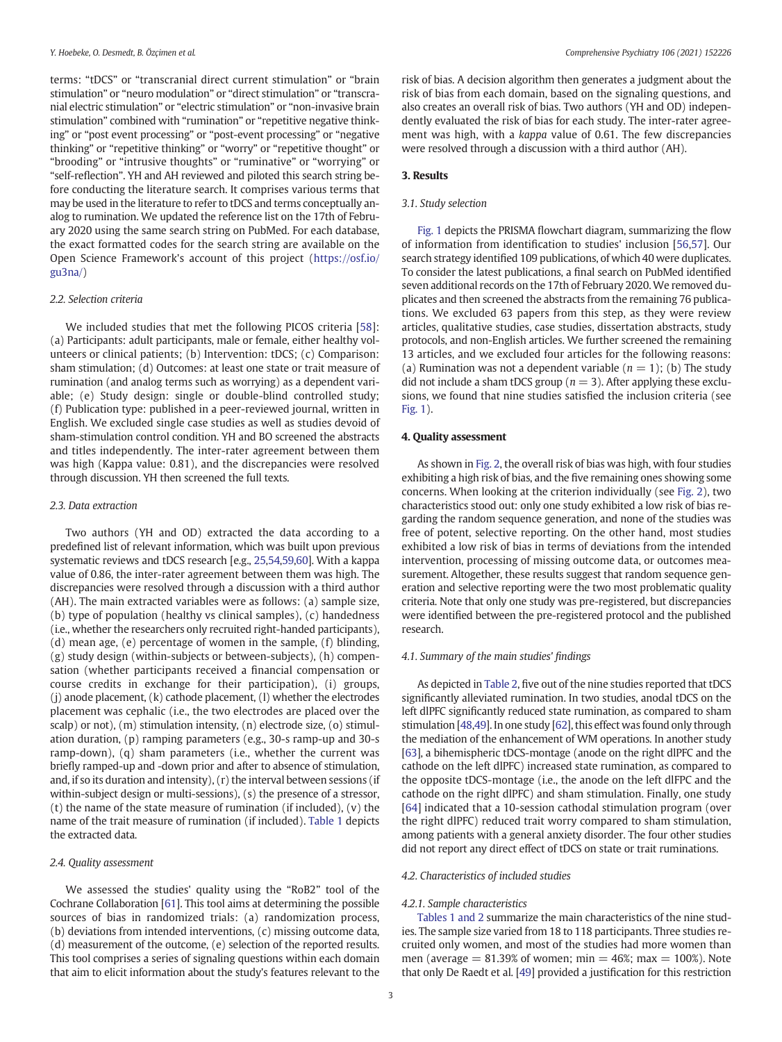terms: "tDCS" or "transcranial direct current stimulation" or "brain stimulation" or "neuro modulation" or "direct stimulation" or "transcranial electric stimulation" or "electric stimulation" or "non-invasive brain stimulation" combined with "rumination" or "repetitive negative thinking" or "post event processing" or "post-event processing" or "negative thinking" or "repetitive thinking" or "worry" or "repetitive thought" or "brooding" or "intrusive thoughts" or "ruminative" or "worrying" or "self-reflection". YH and AH reviewed and piloted this search string before conducting the literature search. It comprises various terms that may be used in the literature to refer to tDCS and terms conceptually analog to rumination. We updated the reference list on the 17th of February 2020 using the same search string on PubMed. For each database, the exact formatted codes for the search string are available on the Open Science Framework's account of this project ([https://osf.io/](https://osf.io/gu3na/) [gu3na/\)](https://osf.io/gu3na/)

#### 2.2. Selection criteria

We included studies that met the following PICOS criteria [\[58\]](#page-9-0): (a) Participants: adult participants, male or female, either healthy volunteers or clinical patients; (b) Intervention: tDCS; (c) Comparison: sham stimulation; (d) Outcomes: at least one state or trait measure of rumination (and analog terms such as worrying) as a dependent variable; (e) Study design: single or double-blind controlled study; (f) Publication type: published in a peer-reviewed journal, written in English. We excluded single case studies as well as studies devoid of sham-stimulation control condition. YH and BO screened the abstracts and titles independently. The inter-rater agreement between them was high (Kappa value: 0.81), and the discrepancies were resolved through discussion. YH then screened the full texts.

#### 2.3. Data extraction

Two authors (YH and OD) extracted the data according to a predefined list of relevant information, which was built upon previous systematic reviews and tDCS research [e.g., [25,54](#page-8-0)[,59,60\]](#page-9-0). With a kappa value of 0.86, the inter-rater agreement between them was high. The discrepancies were resolved through a discussion with a third author (AH). The main extracted variables were as follows: (a) sample size, (b) type of population (healthy vs clinical samples), (c) handedness (i.e., whether the researchers only recruited right-handed participants), (d) mean age, (e) percentage of women in the sample, (f) blinding, (g) study design (within-subjects or between-subjects), (h) compensation (whether participants received a financial compensation or course credits in exchange for their participation), (i) groups,  $(i)$  anode placement,  $(k)$  cathode placement,  $(l)$  whether the electrodes placement was cephalic (i.e., the two electrodes are placed over the scalp) or not), (m) stimulation intensity, (n) electrode size, (o) stimulation duration, (p) ramping parameters (e.g., 30-s ramp-up and 30-s ramp-down), (q) sham parameters (i.e., whether the current was briefly ramped-up and -down prior and after to absence of stimulation, and, if so its duration and intensity), (r) the interval between sessions (if within-subject design or multi-sessions), (s) the presence of a stressor, (t) the name of the state measure of rumination (if included), (v) the name of the trait measure of rumination (if included). [Table 1](#page-3-0) depicts the extracted data.

#### 2.4. Quality assessment

We assessed the studies' quality using the "RoB2" tool of the Cochrane Collaboration [\[61](#page-9-0)]. This tool aims at determining the possible sources of bias in randomized trials: (a) randomization process, (b) deviations from intended interventions, (c) missing outcome data, (d) measurement of the outcome, (e) selection of the reported results. This tool comprises a series of signaling questions within each domain that aim to elicit information about the study's features relevant to the risk of bias. A decision algorithm then generates a judgment about the risk of bias from each domain, based on the signaling questions, and also creates an overall risk of bias. Two authors (YH and OD) independently evaluated the risk of bias for each study. The inter-rater agreement was high, with a kappa value of 0.61. The few discrepancies were resolved through a discussion with a third author (AH).

#### 3. Results

#### 3.1. Study selection

[Fig. 1](#page-4-0) depicts the PRISMA flowchart diagram, summarizing the flow of information from identification to studies' inclusion [[56,](#page-8-0)[57\]](#page-9-0). Our search strategy identified 109 publications, of which 40 were duplicates. To consider the latest publications, a final search on PubMed identified seven additional records on the 17th of February 2020. We removed duplicates and then screened the abstracts from the remaining 76 publications. We excluded 63 papers from this step, as they were review articles, qualitative studies, case studies, dissertation abstracts, study protocols, and non-English articles. We further screened the remaining 13 articles, and we excluded four articles for the following reasons: (a) Rumination was not a dependent variable  $(n = 1)$ ; (b) The study did not include a sham tDCS group ( $n = 3$ ). After applying these exclusions, we found that nine studies satisfied the inclusion criteria (see [Fig. 1\)](#page-4-0).

#### 4. Quality assessment

As shown in [Fig. 2,](#page-4-0) the overall risk of bias was high, with four studies exhibiting a high risk of bias, and the five remaining ones showing some concerns. When looking at the criterion individually (see [Fig. 2](#page-4-0)), two characteristics stood out: only one study exhibited a low risk of bias regarding the random sequence generation, and none of the studies was free of potent, selective reporting. On the other hand, most studies exhibited a low risk of bias in terms of deviations from the intended intervention, processing of missing outcome data, or outcomes measurement. Altogether, these results suggest that random sequence generation and selective reporting were the two most problematic quality criteria. Note that only one study was pre-registered, but discrepancies were identified between the pre-registered protocol and the published research.

#### 4.1. Summary of the main studies' findings

As depicted in [Table 2](#page-5-0), five out of the nine studies reported that tDCS significantly alleviated rumination. In two studies, anodal tDCS on the left dlPFC significantly reduced state rumination, as compared to sham stimulation [[48,49](#page-8-0)]. In one study [\[62](#page-9-0)], this effect was found only through the mediation of the enhancement of WM operations. In another study [[63\]](#page-9-0), a bihemispheric tDCS-montage (anode on the right dlPFC and the cathode on the left dlPFC) increased state rumination, as compared to the opposite tDCS-montage (i.e., the anode on the left dlFPC and the cathode on the right dlPFC) and sham stimulation. Finally, one study [[64](#page-9-0)] indicated that a 10-session cathodal stimulation program (over the right dlPFC) reduced trait worry compared to sham stimulation, among patients with a general anxiety disorder. The four other studies did not report any direct effect of tDCS on state or trait ruminations.

#### 4.2. Characteristics of included studies

#### 4.2.1. Sample characteristics

[Tables 1 and 2](#page-3-0) summarize the main characteristics of the nine studies. The sample size varied from 18 to 118 participants. Three studies recruited only women, and most of the studies had more women than men (average  $= 81.39\%$  of women; min  $= 46\%$ ; max  $= 100\%$ ). Note that only De Raedt et al. [[49\]](#page-8-0) provided a justification for this restriction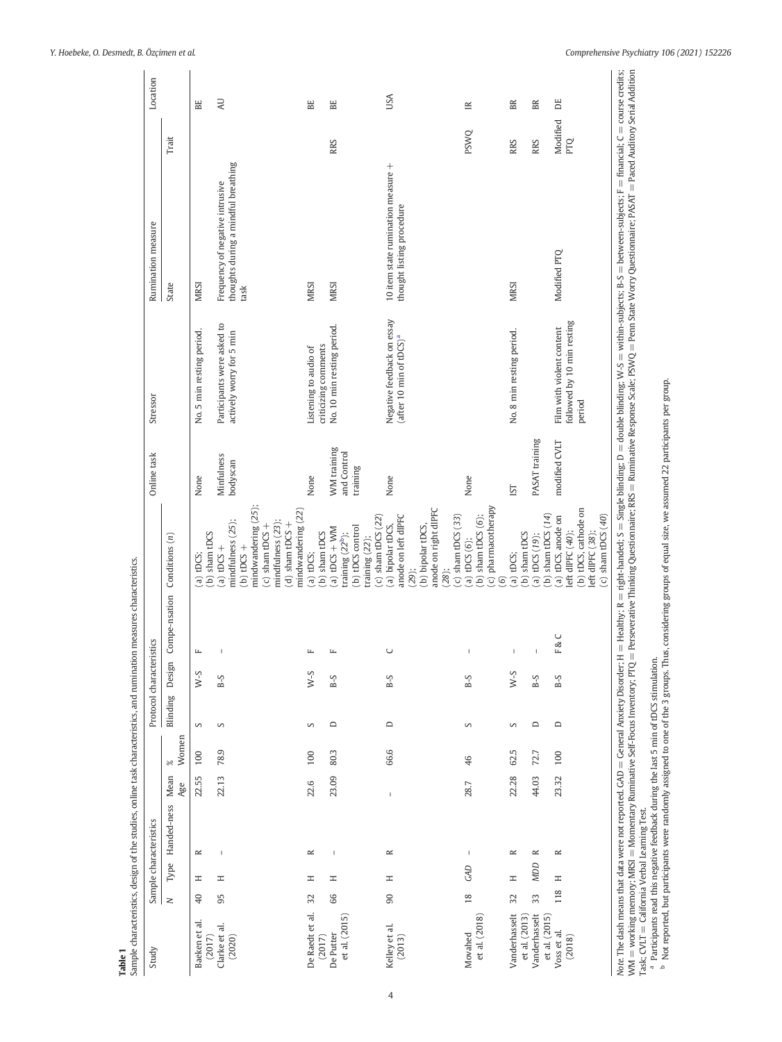Table 1<br>Sample characteristics, design of the studies, online task characteristics, and rumination measures characteristics. Sample characteristics, design of the studies, online task characteristics, and rumination measures characteristics.

<span id="page-3-0"></span>

| Study                                                                                                                                                                                                                |               |            | Sample characteristics                                                                           |                |           |           | Protocol characteristics |                        |                                                                                                                                                                          | Online task                | Stressor                                                          | Rumination measure                                                                                                                                                                                                                                                                                               |                        | Location  |
|----------------------------------------------------------------------------------------------------------------------------------------------------------------------------------------------------------------------|---------------|------------|--------------------------------------------------------------------------------------------------|----------------|-----------|-----------|--------------------------|------------------------|--------------------------------------------------------------------------------------------------------------------------------------------------------------------------|----------------------------|-------------------------------------------------------------------|------------------------------------------------------------------------------------------------------------------------------------------------------------------------------------------------------------------------------------------------------------------------------------------------------------------|------------------------|-----------|
|                                                                                                                                                                                                                      | $\geq$        |            | Type Handed-ness                                                                                 | Mean           | $\approx$ | Blinding  | Design                   |                        | Conditions $(n)$<br>Compe-nsation                                                                                                                                        |                            |                                                                   | State                                                                                                                                                                                                                                                                                                            | Trait                  |           |
|                                                                                                                                                                                                                      |               |            |                                                                                                  | Age            | Women     |           |                          |                        |                                                                                                                                                                          |                            |                                                                   |                                                                                                                                                                                                                                                                                                                  |                        |           |
| Baeken et al.<br>(2017)                                                                                                                                                                                              | $\Theta$      | I          | $\simeq$                                                                                         | 22.55          | 100       | S         | S-M                      | $\mathbf{L}$           | $(b)$ sham tDCS<br>$(a)$ tDCS;                                                                                                                                           | None                       | No. 5 min resting period.                                         | <b>MRSI</b>                                                                                                                                                                                                                                                                                                      |                        | BE        |
| Clarke et al.<br>(2020)                                                                                                                                                                                              | 95            | Ξ          | $\overline{\phantom{a}}$                                                                         | 22.13          | 78.9      | S         | $B-5$                    |                        | mindfulness (25);<br>(a) tDCS +<br>$(b)$ tDCS +                                                                                                                          | Minfulness<br>bodyscan     | Participants were asked to<br>actively worry for 5 min            | thoughts during a mindful breathing<br>Frequency of negative intrusive<br>task                                                                                                                                                                                                                                   |                        | <b>UV</b> |
|                                                                                                                                                                                                                      |               |            |                                                                                                  |                |           |           |                          |                        | mindwandering (25);<br>mindwandering (22)<br>mindfulness (23);<br>$(d)$ sham tDCS $+$<br>$(c)$ sham tDCS +                                                               |                            |                                                                   |                                                                                                                                                                                                                                                                                                                  |                        |           |
| De Raedt et al.<br>(2017)                                                                                                                                                                                            | 32            | Ξ          | $\approx$                                                                                        | 22.6           | 100       | S         | $S-N$                    | щ                      | (b) sham tDCS<br>$(a)$ tDCS;                                                                                                                                             | None                       | criticizing comments<br>Listening to audio of                     | <b>MRSI</b>                                                                                                                                                                                                                                                                                                      |                        | BE        |
| et al. (2015)<br>De Putter                                                                                                                                                                                           | 66            | Ξ          | $\mathbf{I}$                                                                                     | 23.09          | 80.3      | $\square$ | $B-5$                    | $\mathsf{L}\mathsf{L}$ | (a) $tDCS + WM$<br>training $(22b)$ ;                                                                                                                                    | WM training<br>and Control | No. 10 min resting period.                                        | <b>MRSI</b>                                                                                                                                                                                                                                                                                                      | <b>RRS</b>             | EE        |
|                                                                                                                                                                                                                      |               |            |                                                                                                  |                |           |           |                          |                        | $(c)$ sham tDCS $(22)$<br>(b) tDCS control<br>training (22);                                                                                                             | training                   |                                                                   |                                                                                                                                                                                                                                                                                                                  |                        |           |
| Kelley et al.<br>(2013)                                                                                                                                                                                              | 90            | Ξ          | $\approx$                                                                                        | $\overline{1}$ | 66.6      | $\Box$    | $B-5$                    | $\cup$                 | anode on left dIPFC<br>(a) bipolar tDCS,                                                                                                                                 | None                       | Negative feedback on essay<br>(after 10 min of tDCS) <sup>a</sup> | 10 item state rumination measure +<br>thought listing procedure                                                                                                                                                                                                                                                  |                        | USA       |
|                                                                                                                                                                                                                      |               |            |                                                                                                  |                |           |           |                          |                        | anode on right dIPFC<br>(b) bipolar tDCS,<br>$(28)$ ;<br>$(29)$ ;                                                                                                        |                            |                                                                   |                                                                                                                                                                                                                                                                                                                  |                        |           |
| et al. (2018)<br>Movahed                                                                                                                                                                                             | $\frac{8}{2}$ | GAD        |                                                                                                  | 28.7           | 46        | S         | $B-S$                    |                        | (c) pharmacotherapy<br>$(c)$ sham tDCS $(33)$<br>(b) sham tDCS $(6)$ ;<br>(a) tDCS $(6)$ ;                                                                               | None                       |                                                                   |                                                                                                                                                                                                                                                                                                                  | <b>PSWQ</b>            | $\cong$   |
|                                                                                                                                                                                                                      |               |            |                                                                                                  |                |           |           |                          |                        | $\odot$                                                                                                                                                                  |                            |                                                                   |                                                                                                                                                                                                                                                                                                                  |                        |           |
| Vanderhasselt<br>et al. (2013)                                                                                                                                                                                       | 32            | $\equiv$   | $\approx$                                                                                        | 22.28          | 62.5      | S         | $S-M$                    |                        | sham tDCS<br>(a) tDCS;<br>$\widehat{e}$                                                                                                                                  | IST                        | No. 8 min resting period.                                         | <b>MRSI</b>                                                                                                                                                                                                                                                                                                      | <b>RRS</b>             | BR        |
| Vanderhasselt<br>et al. (2015)                                                                                                                                                                                       | 33            | <b>ADD</b> | $\approx$                                                                                        | 44.03          | 72.7      | $\square$ | $B-S$                    |                        | (b) sham tDCS $(14)$<br>(a) $tDCS(19)$ ;                                                                                                                                 | PASAT training             |                                                                   |                                                                                                                                                                                                                                                                                                                  | <b>RRS</b>             | BR        |
| Voss et al.<br>(2018)                                                                                                                                                                                                | 118           | Ξ          | $\simeq$                                                                                         | 23.32          | 100       | $\Box$    | $B-5$                    |                        | (b) tDCS, cathode on<br>$(c)$ sham tDCS $(40)$<br>(a) tDCS, anode on<br>left dlPFC $(40)$ ;<br>left dIPFC (38);<br>F&C                                                   | modified CVLT              | followed by 10 min resting<br>Film with violent content<br>period | Modified PTQ                                                                                                                                                                                                                                                                                                     | Modified<br><b>PTQ</b> | DE        |
| Note: The dash means that data were not reported. GAD = General Anxiety Disorder; H<br>WM = working memory; MRSI = Momentary Ruminative Self-Focus Inventory; PTQ =<br>Task; CVLT = California Verbal Learning Test. |               |            | <sup>a</sup> Participants read this negative feedback during the last 5 min of tDCS stimulation. |                |           |           |                          |                        | <sup>b</sup> Not reported, but participants were randomly assigned to one of the 3 groups. Thus, considering groups of equal size, we assumed 22 participants per group. |                            |                                                                   | = Healthy; R = right-handed; S = Single blinding; D = double blinding; W-S = within-subjects; B-S = between-subjects; F = financial; C = course credits;<br>Perseverative Thinking Questionnaire: RRS = Ruminative Response Scale: PSWQ = Penn State Worry Questionnaire; PASAT = Paced Auditory Serial Addition |                        |           |

4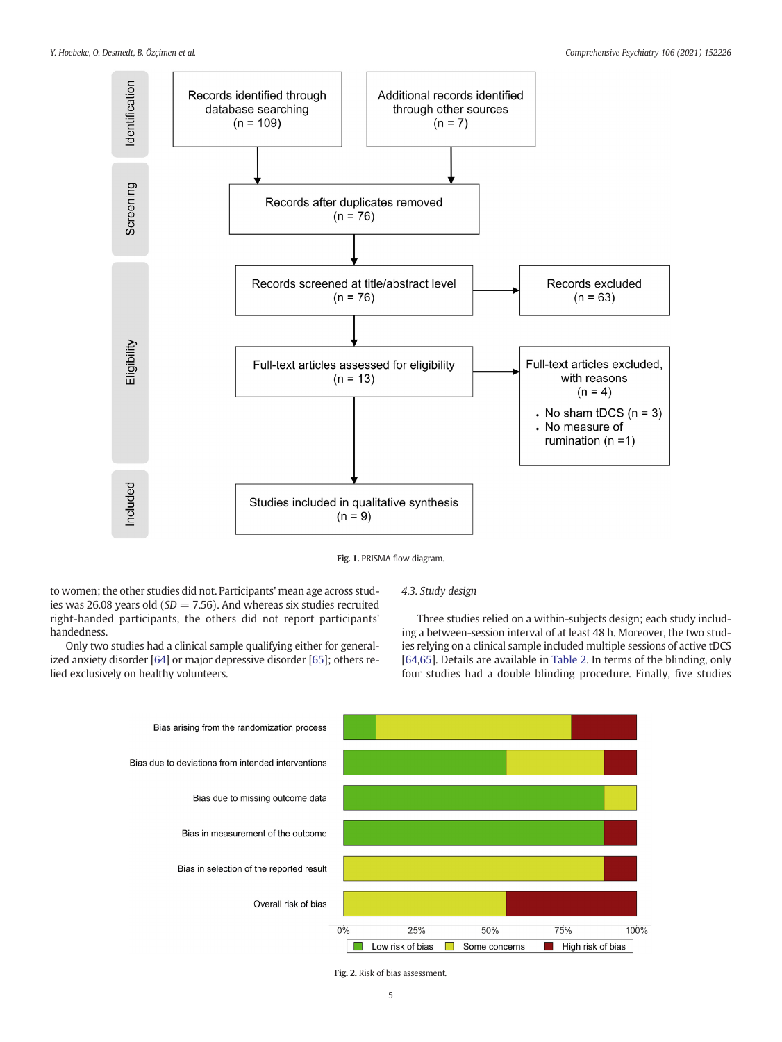<span id="page-4-0"></span>



to women; the other studies did not. Participants' mean age across studies was 26.08 years old ( $SD = 7.56$ ). And whereas six studies recruited right-handed participants, the others did not report participants' handedness.

4.3. Study design

Only two studies had a clinical sample qualifying either for generalized anxiety disorder [[64](#page-9-0)] or major depressive disorder [\[65\]](#page-9-0); others relied exclusively on healthy volunteers.

Three studies relied on a within-subjects design; each study including a between-session interval of at least 48 h. Moreover, the two studies relying on a clinical sample included multiple sessions of active tDCS [[64](#page-9-0),[65\]](#page-9-0). Details are available in [Table 2.](#page-5-0) In terms of the blinding, only four studies had a double blinding procedure. Finally, five studies



Fig. 2. Risk of bias assessment.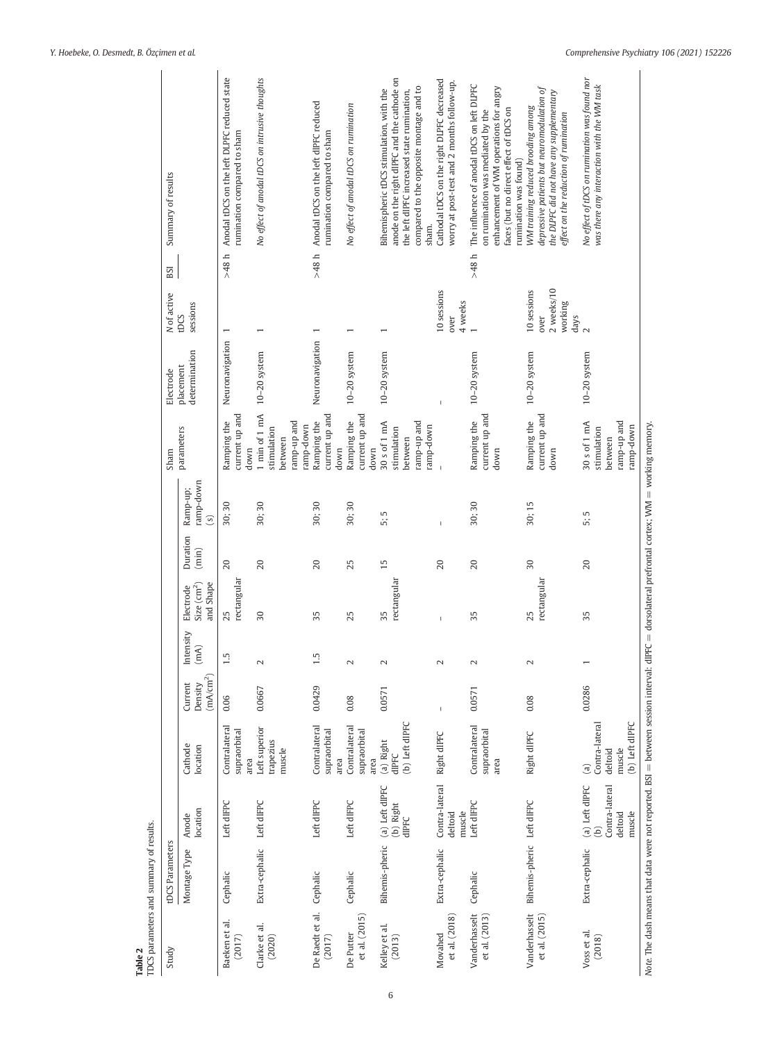<span id="page-5-0"></span>

| Study<br>Table 2                         | TDCS parameters and summary of results.<br>tDCS Parameters |                                                                        |                                                                     |                                             |                   |                                                           |                   |                                         | Sham                                                                | Electrode                  | N of active                                            | BSI     | Summary of results                                                                                                                                                                           |
|------------------------------------------|------------------------------------------------------------|------------------------------------------------------------------------|---------------------------------------------------------------------|---------------------------------------------|-------------------|-----------------------------------------------------------|-------------------|-----------------------------------------|---------------------------------------------------------------------|----------------------------|--------------------------------------------------------|---------|----------------------------------------------------------------------------------------------------------------------------------------------------------------------------------------------|
|                                          | Montage Type                                               | location<br>Anode                                                      | Cathode<br>location                                                 | (mA/cm <sup>2</sup> )<br>Current<br>Density | Intensity<br>(mA) | and Shape<br>Size $\left(\text{cm}^2\right)$<br>Electrode | Duration<br>(min) | ramp-down<br>Ramp-up;<br>$\overline{s}$ | parameters                                                          | determination<br>placement | sessions<br>tDCS                                       |         |                                                                                                                                                                                              |
| Baeken et al.<br>(2017)                  | Cephalic                                                   | Left dIFPC                                                             | Contralateral<br>supraorbital<br>area                               | 0.06                                        | 1.5               | rectangular<br>25                                         | 20                | 30;30                                   | current up and<br>Ramping the<br>down                               | Neuronavigation            |                                                        | $-48 h$ | Anodal tDCS on the left DLPFC reduced state<br>rumination compared to sham                                                                                                                   |
| Clarke et al.<br>(2020)                  | Extra-cephalic                                             | Left dIFPC                                                             | Left superior<br>trapezius<br>muscle                                | 0.0667                                      | $\sim$            | 30                                                        | 20                | 30;30                                   | 1 min of 1 mA<br>ramp-up and<br>ramp-down<br>stimulation<br>between | $10-20$ system             | $\overline{ }$                                         |         | No effect of anodal tDCS on intrusive thoughts                                                                                                                                               |
| De Raedt et al.<br>(2017)                | Cephalic                                                   | Left dIFPC                                                             | Contralateral<br>supraorbital<br>area                               | 0.0429                                      | 1.5               | 35                                                        | 20                | 30;30                                   | current up and<br>Ramping the<br>down                               | Neuronavigation            |                                                        | >48 h   | Anodal tDCS on the left dlPFC reduced<br>rumination compared to sham                                                                                                                         |
| et al. (2015)<br>De Putter               | Cephalic                                                   | Left dIFPC                                                             | Contralateral<br>supraorbital<br>area                               | 0.08                                        | $\sim$            | 25                                                        | 25                | 30;30                                   | current up and<br>Ramping the<br>down                               | 10-20 system               | $\overline{ }$                                         |         | No effect of anodal tDCS on rumination                                                                                                                                                       |
| Kelley et al.<br>(2013)                  |                                                            | Bihemis-pheric (a) Left dlPFC<br>(b) Right<br>dIPFC                    | (b) Left dIPFC<br>(a) $Right$<br>dIPFC                              | 0.0571                                      | $\mathbf 2$       | rectangular<br>35                                         | 15                | 5<br>ió.                                | 30 s of 1 mA<br>ramp-up and<br>ramp-down<br>stimulation<br>between  | 10-20 system               |                                                        |         | anode on the right dlPFC and the cathode on<br>compared to the opposite montage and to<br>Bihemispheric tDCS stimulation, with the<br>the left dlPFC increased state rumination,<br>sham.    |
| $et$ al. $\left( 2018\right)$<br>Movahed | Extra-cephalic                                             | Contra-lateral<br>muscle<br>deltoid                                    | Right dIPFC                                                         | I                                           | $\sim$            | Ï                                                         | 20                | Ï                                       |                                                                     | Ï                          | 10 sessions<br>4 weeks<br>over                         |         | Cathodal tDCS on the right DLPFC decreased<br>worry at post-test and 2 months follow-up.                                                                                                     |
| Vanderhasselt<br>et al. (2013)           | Cephalic                                                   | Left dIFPC                                                             | Contralateral<br>supraorbital<br>area                               | 0.0571                                      | $\mathbf 2$       | 35                                                        | 20                | 30;30                                   | current up and<br>Ramping the<br>down                               | 10-20 system               |                                                        | $-48 h$ | The influence of anodal tDCS on left DLPFC<br>enhancement of WM operations for angry<br>faces (but no direct effect of tDCS on<br>on rumination was mediated by the<br>rumination was found) |
| Vanderhasselt<br>et al. (2015)           | Bihemis-pheric Left dIFPC                                  |                                                                        | Right dIPFC                                                         | 0.08                                        | $\mathbf{C}$      | rectangular<br>25                                         | 30                | 30;15                                   | current up and<br>Ramping the<br>down                               | $10-20$ system             | $2$ weeks/10<br>10 sessions<br>working<br>days<br>over |         | depressive patients but neuromodulation of<br>the DLPFC did not have any supplementary<br>WM training reduced brooding among<br>effect on the reduction of rumination                        |
| Voss et al.<br>(2018)                    | Extra-cephalic                                             | Contra-lateral<br>(a) Left dIPFC<br>muscle<br>deltoid<br>$\widehat{e}$ | (b) Left dIPFC<br>Contra-lateral<br>muscle<br>deltoid<br>$\epsilon$ | 0.0286                                      |                   | 35                                                        | 20                | 5:5                                     | 30 s of 1 mA<br>ramp-up and<br>ramp-down<br>stimulation<br>between  | 10-20 system               | $\sim$                                                 |         | No effect of tDCS on rumination was found nor<br>was there any interaction with the WM task                                                                                                  |
|                                          |                                                            |                                                                        |                                                                     |                                             |                   |                                                           |                   |                                         |                                                                     |                            |                                                        |         |                                                                                                                                                                                              |

6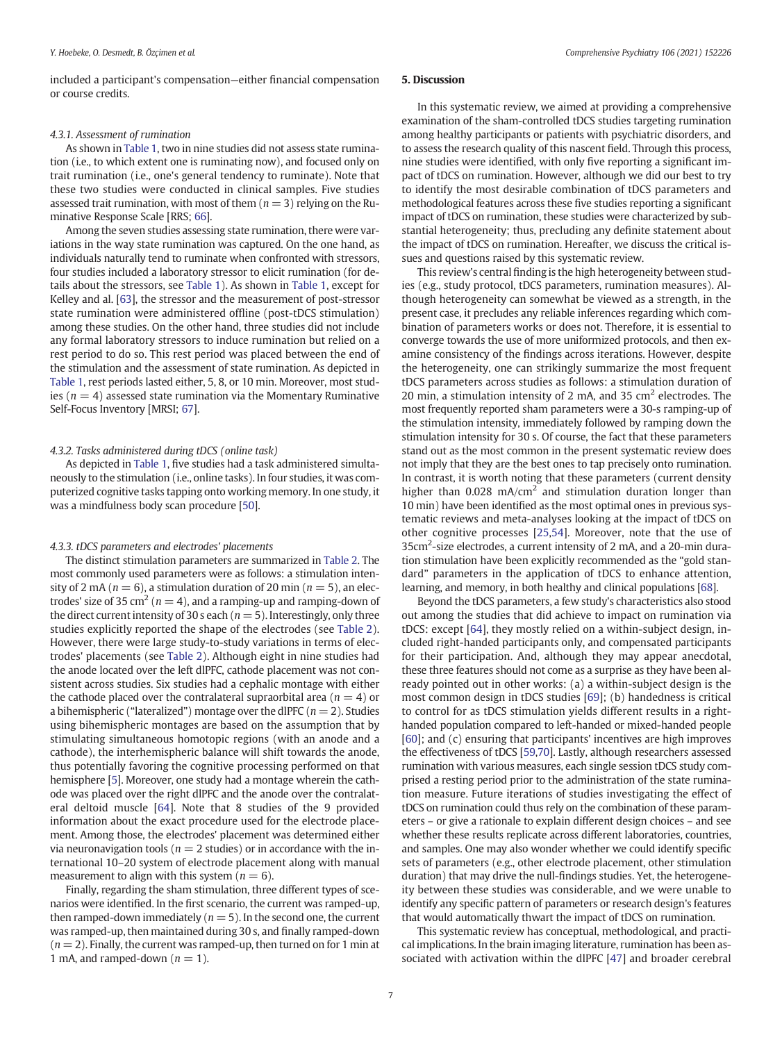included a participant's compensation—either financial compensation or course credits.

#### 4.3.1. Assessment of rumination

As shown in [Table 1,](#page-3-0) two in nine studies did not assess state rumination (i.e., to which extent one is ruminating now), and focused only on trait rumination (i.e., one's general tendency to ruminate). Note that these two studies were conducted in clinical samples. Five studies assessed trait rumination, with most of them  $(n = 3)$  relying on the Ruminative Response Scale [RRS; [66](#page-9-0)].

Among the seven studies assessing state rumination, there were variations in the way state rumination was captured. On the one hand, as individuals naturally tend to ruminate when confronted with stressors, four studies included a laboratory stressor to elicit rumination (for details about the stressors, see [Table 1](#page-3-0)). As shown in [Table 1,](#page-3-0) except for Kelley and al. [\[63](#page-9-0)], the stressor and the measurement of post-stressor state rumination were administered offline (post-tDCS stimulation) among these studies. On the other hand, three studies did not include any formal laboratory stressors to induce rumination but relied on a rest period to do so. This rest period was placed between the end of the stimulation and the assessment of state rumination. As depicted in [Table 1](#page-3-0), rest periods lasted either, 5, 8, or 10 min. Moreover, most studies ( $n = 4$ ) assessed state rumination via the Momentary Ruminative Self-Focus Inventory [MRSI; [67](#page-9-0)].

#### 4.3.2. Tasks administered during tDCS (online task)

As depicted in [Table 1](#page-3-0), five studies had a task administered simultaneously to the stimulation (i.e., online tasks). In four studies, it was computerized cognitive tasks tapping onto working memory. In one study, it was a mindfulness body scan procedure [[50\]](#page-8-0).

#### 4.3.3. tDCS parameters and electrodes' placements

The distinct stimulation parameters are summarized in [Table 2](#page-5-0). The most commonly used parameters were as follows: a stimulation intensity of 2 mA ( $n = 6$ ), a stimulation duration of 20 min ( $n = 5$ ), an electrodes' size of 35 cm<sup>2</sup> ( $n = 4$ ), and a ramping-up and ramping-down of the direct current intensity of 30 s each ( $n = 5$ ). Interestingly, only three studies explicitly reported the shape of the electrodes (see [Table 2\)](#page-5-0). However, there were large study-to-study variations in terms of electrodes' placements (see [Table 2](#page-5-0)). Although eight in nine studies had the anode located over the left dlPFC, cathode placement was not consistent across studies. Six studies had a cephalic montage with either the cathode placed over the contralateral supraorbital area ( $n = 4$ ) or a bihemispheric ("lateralized") montage over the dlPFC ( $n = 2$ ). Studies using bihemispheric montages are based on the assumption that by stimulating simultaneous homotopic regions (with an anode and a cathode), the interhemispheric balance will shift towards the anode, thus potentially favoring the cognitive processing performed on that hemisphere [\[5](#page-8-0)]. Moreover, one study had a montage wherein the cathode was placed over the right dlPFC and the anode over the contralateral deltoid muscle [\[64](#page-9-0)]. Note that 8 studies of the 9 provided information about the exact procedure used for the electrode placement. Among those, the electrodes' placement was determined either via neuronavigation tools ( $n = 2$  studies) or in accordance with the international 10–20 system of electrode placement along with manual measurement to align with this system ( $n = 6$ ).

Finally, regarding the sham stimulation, three different types of scenarios were identified. In the first scenario, the current was ramped-up, then ramped-down immediately ( $n = 5$ ). In the second one, the current was ramped-up, then maintained during 30 s, and finally ramped-down  $(n = 2)$ . Finally, the current was ramped-up, then turned on for 1 min at 1 mA, and ramped-down ( $n = 1$ ).

#### 5. Discussion

In this systematic review, we aimed at providing a comprehensive examination of the sham-controlled tDCS studies targeting rumination among healthy participants or patients with psychiatric disorders, and to assess the research quality of this nascent field. Through this process, nine studies were identified, with only five reporting a significant impact of tDCS on rumination. However, although we did our best to try to identify the most desirable combination of tDCS parameters and methodological features across these five studies reporting a significant impact of tDCS on rumination, these studies were characterized by substantial heterogeneity; thus, precluding any definite statement about the impact of tDCS on rumination. Hereafter, we discuss the critical issues and questions raised by this systematic review.

This review's central finding is the high heterogeneity between studies (e.g., study protocol, tDCS parameters, rumination measures). Although heterogeneity can somewhat be viewed as a strength, in the present case, it precludes any reliable inferences regarding which combination of parameters works or does not. Therefore, it is essential to converge towards the use of more uniformized protocols, and then examine consistency of the findings across iterations. However, despite the heterogeneity, one can strikingly summarize the most frequent tDCS parameters across studies as follows: a stimulation duration of 20 min, a stimulation intensity of 2 mA, and 35  $\text{cm}^2$  electrodes. The most frequently reported sham parameters were a 30-s ramping-up of the stimulation intensity, immediately followed by ramping down the stimulation intensity for 30 s. Of course, the fact that these parameters stand out as the most common in the present systematic review does not imply that they are the best ones to tap precisely onto rumination. In contrast, it is worth noting that these parameters (current density higher than  $0.028 \text{ mA/cm}^2$  and stimulation duration longer than 10 min) have been identified as the most optimal ones in previous systematic reviews and meta-analyses looking at the impact of tDCS on other cognitive processes [\[25,54](#page-8-0)]. Moreover, note that the use of 35cm<sup>2</sup>-size electrodes, a current intensity of 2 mA, and a 20-min duration stimulation have been explicitly recommended as the "gold standard" parameters in the application of tDCS to enhance attention, learning, and memory, in both healthy and clinical populations [\[68\]](#page-9-0).

Beyond the tDCS parameters, a few study's characteristics also stood out among the studies that did achieve to impact on rumination via tDCS: except [\[64\]](#page-9-0), they mostly relied on a within-subject design, included right-handed participants only, and compensated participants for their participation. And, although they may appear anecdotal, these three features should not come as a surprise as they have been already pointed out in other works: (a) a within-subject design is the most common design in tDCS studies [[69\]](#page-9-0); (b) handedness is critical to control for as tDCS stimulation yields different results in a righthanded population compared to left-handed or mixed-handed people [[60\]](#page-9-0); and (c) ensuring that participants' incentives are high improves the effectiveness of tDCS [[59,70\]](#page-9-0). Lastly, although researchers assessed rumination with various measures, each single session tDCS study comprised a resting period prior to the administration of the state rumination measure. Future iterations of studies investigating the effect of tDCS on rumination could thus rely on the combination of these parameters – or give a rationale to explain different design choices – and see whether these results replicate across different laboratories, countries, and samples. One may also wonder whether we could identify specific sets of parameters (e.g., other electrode placement, other stimulation duration) that may drive the null-findings studies. Yet, the heterogeneity between these studies was considerable, and we were unable to identify any specific pattern of parameters or research design's features that would automatically thwart the impact of tDCS on rumination.

This systematic review has conceptual, methodological, and practical implications. In the brain imaging literature, rumination has been associated with activation within the dlPFC [[47](#page-8-0)] and broader cerebral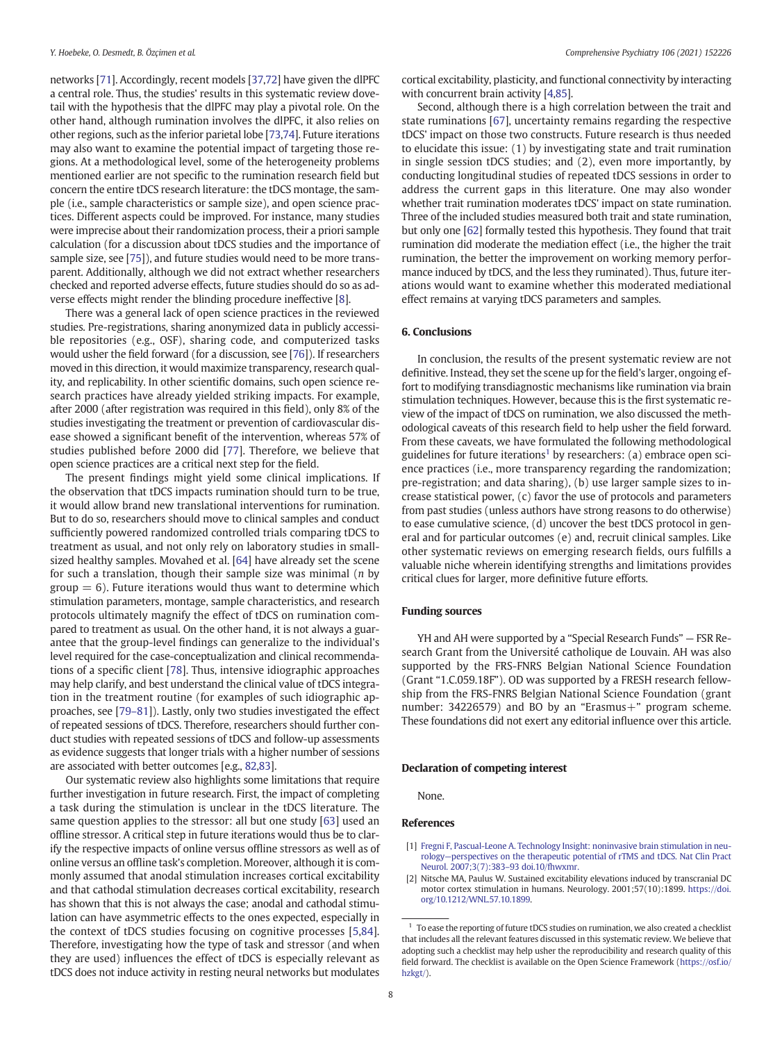<span id="page-7-0"></span>networks [\[71](#page-9-0)]. Accordingly, recent models [[37](#page-8-0)[,72](#page-9-0)] have given the dlPFC a central role. Thus, the studies' results in this systematic review dovetail with the hypothesis that the dlPFC may play a pivotal role. On the other hand, although rumination involves the dlPFC, it also relies on other regions, such as the inferior parietal lobe [\[73,74\]](#page-9-0). Future iterations may also want to examine the potential impact of targeting those regions. At a methodological level, some of the heterogeneity problems mentioned earlier are not specific to the rumination research field but concern the entire tDCS research literature: the tDCS montage, the sample (i.e., sample characteristics or sample size), and open science practices. Different aspects could be improved. For instance, many studies were imprecise about their randomization process, their a priori sample calculation (for a discussion about tDCS studies and the importance of sample size, see [[75\]](#page-9-0)), and future studies would need to be more transparent. Additionally, although we did not extract whether researchers checked and reported adverse effects, future studies should do so as adverse effects might render the blinding procedure ineffective [\[8\]](#page-8-0).

There was a general lack of open science practices in the reviewed studies. Pre-registrations, sharing anonymized data in publicly accessible repositories (e.g., OSF), sharing code, and computerized tasks would usher the field forward (for a discussion, see [\[76](#page-9-0)]). If researchers moved in this direction, it would maximize transparency, research quality, and replicability. In other scientific domains, such open science research practices have already yielded striking impacts. For example, after 2000 (after registration was required in this field), only 8% of the studies investigating the treatment or prevention of cardiovascular disease showed a significant benefit of the intervention, whereas 57% of studies published before 2000 did [[77](#page-9-0)]. Therefore, we believe that open science practices are a critical next step for the field.

The present findings might yield some clinical implications. If the observation that tDCS impacts rumination should turn to be true, it would allow brand new translational interventions for rumination. But to do so, researchers should move to clinical samples and conduct sufficiently powered randomized controlled trials comparing tDCS to treatment as usual, and not only rely on laboratory studies in smallsized healthy samples. Movahed et al. [[64\]](#page-9-0) have already set the scene for such a translation, though their sample size was minimal  $(n$  by  $group = 6$ ). Future iterations would thus want to determine which stimulation parameters, montage, sample characteristics, and research protocols ultimately magnify the effect of tDCS on rumination compared to treatment as usual. On the other hand, it is not always a guarantee that the group-level findings can generalize to the individual's level required for the case-conceptualization and clinical recommendations of a specific client [[78\]](#page-9-0). Thus, intensive idiographic approaches may help clarify, and best understand the clinical value of tDCS integration in the treatment routine (for examples of such idiographic approaches, see [[79](#page-9-0)–81]). Lastly, only two studies investigated the effect of repeated sessions of tDCS. Therefore, researchers should further conduct studies with repeated sessions of tDCS and follow-up assessments as evidence suggests that longer trials with a higher number of sessions are associated with better outcomes [e.g., [82,83](#page-9-0)].

Our systematic review also highlights some limitations that require further investigation in future research. First, the impact of completing a task during the stimulation is unclear in the tDCS literature. The same question applies to the stressor: all but one study [\[63\]](#page-9-0) used an offline stressor. A critical step in future iterations would thus be to clarify the respective impacts of online versus offline stressors as well as of online versus an offline task's completion. Moreover, although it is commonly assumed that anodal stimulation increases cortical excitability and that cathodal stimulation decreases cortical excitability, research has shown that this is not always the case; anodal and cathodal stimulation can have asymmetric effects to the ones expected, especially in the context of tDCS studies focusing on cognitive processes [[5](#page-8-0)[,84](#page-9-0)]. Therefore, investigating how the type of task and stressor (and when they are used) influences the effect of tDCS is especially relevant as tDCS does not induce activity in resting neural networks but modulates

cortical excitability, plasticity, and functional connectivity by interacting with concurrent brain activity [\[4,](#page-8-0)[85](#page-9-0)].

Second, although there is a high correlation between the trait and state ruminations [[67\]](#page-9-0), uncertainty remains regarding the respective tDCS' impact on those two constructs. Future research is thus needed to elucidate this issue: (1) by investigating state and trait rumination in single session tDCS studies; and (2), even more importantly, by conducting longitudinal studies of repeated tDCS sessions in order to address the current gaps in this literature. One may also wonder whether trait rumination moderates tDCS' impact on state rumination. Three of the included studies measured both trait and state rumination, but only one [[62\]](#page-9-0) formally tested this hypothesis. They found that trait rumination did moderate the mediation effect (i.e., the higher the trait rumination, the better the improvement on working memory performance induced by tDCS, and the less they ruminated). Thus, future iterations would want to examine whether this moderated mediational effect remains at varying tDCS parameters and samples.

#### 6. Conclusions

In conclusion, the results of the present systematic review are not definitive. Instead, they set the scene up for the field's larger, ongoing effort to modifying transdiagnostic mechanisms like rumination via brain stimulation techniques. However, because this is the first systematic review of the impact of tDCS on rumination, we also discussed the methodological caveats of this research field to help usher the field forward. From these caveats, we have formulated the following methodological guidelines for future iterations<sup>1</sup> by researchers: (a) embrace open science practices (i.e., more transparency regarding the randomization; pre-registration; and data sharing), (b) use larger sample sizes to increase statistical power, (c) favor the use of protocols and parameters from past studies (unless authors have strong reasons to do otherwise) to ease cumulative science, (d) uncover the best tDCS protocol in general and for particular outcomes (e) and, recruit clinical samples. Like other systematic reviews on emerging research fields, ours fulfills a valuable niche wherein identifying strengths and limitations provides critical clues for larger, more definitive future efforts.

#### Funding sources

YH and AH were supported by a "Special Research Funds" — FSR Research Grant from the Université catholique de Louvain. AH was also supported by the FRS-FNRS Belgian National Science Foundation (Grant "1.C.059.18F"). OD was supported by a FRESH research fellowship from the FRS-FNRS Belgian National Science Foundation (grant number: 34226579) and BO by an "Erasmus+" program scheme. These foundations did not exert any editorial influence over this article.

#### Declaration of competing interest

None.

#### References

[1] [Fregni F, Pascual-Leone A. Technology Insight: noninvasive brain stimulation in neu](http://refhub.elsevier.com/S0010-440X(21)00004-3/rf0005)rology—[perspectives on the therapeutic potential of rTMS and tDCS. Nat Clin Pract](http://refhub.elsevier.com/S0010-440X(21)00004-3/rf0005) [Neurol. 2007;3\(7\):383](http://refhub.elsevier.com/S0010-440X(21)00004-3/rf0005)–93 doi.10/fhwxmr.

<sup>[2]</sup> Nitsche MA, Paulus W. Sustained excitability elevations induced by transcranial DC motor cortex stimulation in humans. Neurology. 2001;57(10):1899. [https://doi.](https://doi.org/10.1212/WNL.57.10.1899) [org/10.1212/WNL.57.10.1899.](https://doi.org/10.1212/WNL.57.10.1899)

 $1$  To ease the reporting of future tDCS studies on rumination, we also created a checklist that includes all the relevant features discussed in this systematic review. We believe that adopting such a checklist may help usher the reproducibility and research quality of this field forward. The checklist is available on the Open Science Framework [\(https://osf.io/](https://osf.io/hzkgt/) [hzkgt/](https://osf.io/hzkgt/)).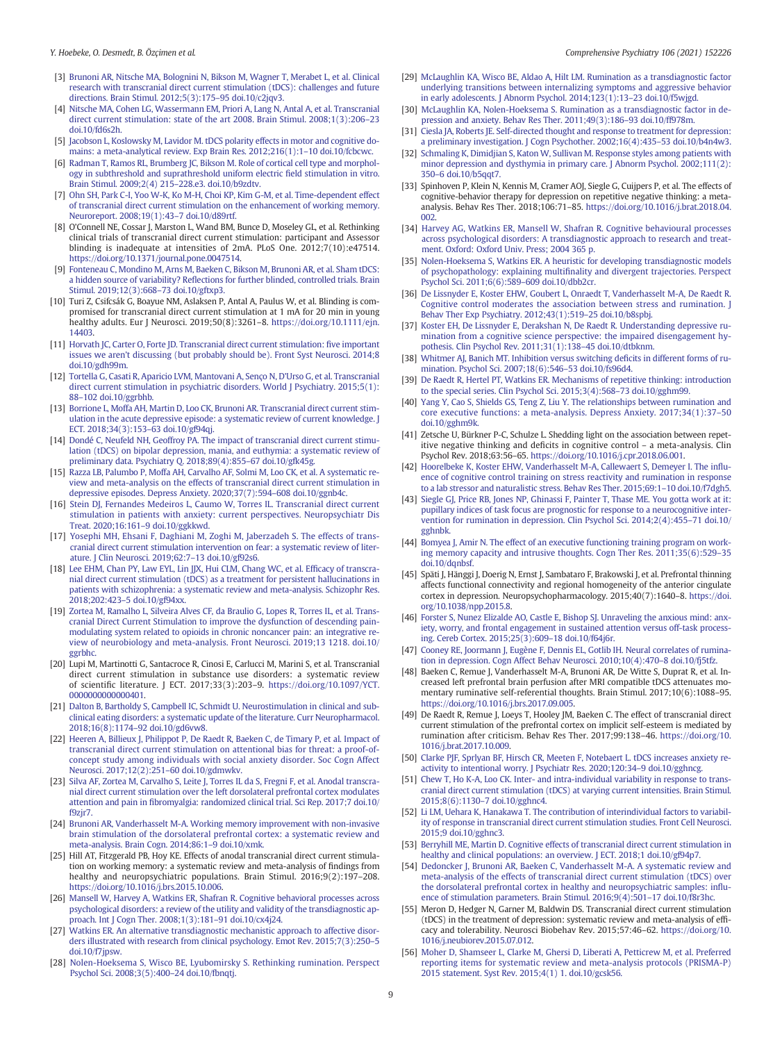- <span id="page-8-0"></span>[4] [Nitsche MA, Cohen LG, Wassermann EM, Priori A, Lang N, Antal A, et al. Transcranial](http://refhub.elsevier.com/S0010-440X(21)00004-3/rf0020) [direct current stimulation: state of the art 2008. Brain Stimul. 2008;1\(3\):206](http://refhub.elsevier.com/S0010-440X(21)00004-3/rf0020)–23 [doi.10/fd6s2h.](http://refhub.elsevier.com/S0010-440X(21)00004-3/rf0020)
- [5] [Jacobson L, Koslowsky M, Lavidor M. tDCS polarity effects in motor and cognitive do](http://refhub.elsevier.com/S0010-440X(21)00004-3/rf0025)[mains: a meta-analytical review. Exp Brain Res. 2012;216\(1\):1](http://refhub.elsevier.com/S0010-440X(21)00004-3/rf0025)–10 doi.10/fcbcwc.
- [6] [Radman T, Ramos RL, Brumberg JC, Bikson M. Role of cortical cell type and morphol](http://refhub.elsevier.com/S0010-440X(21)00004-3/rf0030)[ogy in subthreshold and suprathreshold uniform electric](http://refhub.elsevier.com/S0010-440X(21)00004-3/rf0030) field stimulation in vitro. [Brain Stimul. 2009;2\(4\) 215](http://refhub.elsevier.com/S0010-440X(21)00004-3/rf0030)–228.e3. doi.10/b9zdtv.
- [7] [Ohn SH, Park C-I, Yoo W-K, Ko M-H, Choi KP, Kim G-M, et al. Time-dependent effect](http://refhub.elsevier.com/S0010-440X(21)00004-3/rf0035) [of transcranial direct current stimulation on the enhancement of working memory.](http://refhub.elsevier.com/S0010-440X(21)00004-3/rf0035) [Neuroreport. 2008;19\(1\):43](http://refhub.elsevier.com/S0010-440X(21)00004-3/rf0035)–7 doi.10/d89rtf.
- [8] O'Connell NE, Cossar J, Marston L, Wand BM, Bunce D, Moseley GL, et al. Rethinking clinical trials of transcranial direct current stimulation: participant and Assessor blinding is inadequate at intensities of 2mA. PLoS One. 2012;7(10):e47514. [https://doi.org/10.1371/journal.pone.0047514.](https://doi.org/10.1371/journal.pone.0047514)
- [9] [Fonteneau C, Mondino M, Arns M, Baeken C, Bikson M, Brunoni AR, et al. Sham tDCS:](http://refhub.elsevier.com/S0010-440X(21)00004-3/rf0045) a hidden source of variability? Refl[ections for further blinded, controlled trials. Brain](http://refhub.elsevier.com/S0010-440X(21)00004-3/rf0045) [Stimul. 2019;12\(3\):668](http://refhub.elsevier.com/S0010-440X(21)00004-3/rf0045)–73 doi.10/gftxp3.
- [10] Turi Z, Csifcsák G, Boayue NM, Aslaksen P, Antal A, Paulus W, et al. Blinding is compromised for transcranial direct current stimulation at 1 mA for 20 min in young healthy adults. Eur J Neurosci. 2019;50(8):3261–8. [https://doi.org/10.1111/ejn.](https://doi.org/10.1111/ejn.14403) [14403.](https://doi.org/10.1111/ejn.14403)
- [11] [Horvath JC, Carter O, Forte JD. Transcranial direct current stimulation:](http://refhub.elsevier.com/S0010-440X(21)00004-3/rf0055) five important issues we aren'[t discussing \(but probably should be\). Front Syst Neurosci. 2014;8](http://refhub.elsevier.com/S0010-440X(21)00004-3/rf0055) [doi.10/gdh99m.](http://refhub.elsevier.com/S0010-440X(21)00004-3/rf0055)
- [12] [Tortella G, Casati R, Aparicio LVM, Mantovani A, Senço N, D](http://refhub.elsevier.com/S0010-440X(21)00004-3/rf0060)'Urso G, et al. Transcranial [direct current stimulation in psychiatric disorders. World J Psychiatry. 2015;5\(1\):](http://refhub.elsevier.com/S0010-440X(21)00004-3/rf0060) 88–[102 doi.10/ggrbhb.](http://refhub.elsevier.com/S0010-440X(21)00004-3/rf0060)
- [13] [Borrione L, Moffa AH, Martin D, Loo CK, Brunoni AR. Transcranial direct current stim](http://refhub.elsevier.com/S0010-440X(21)00004-3/rf0065)[ulation in the acute depressive episode: a systematic review of current knowledge. J](http://refhub.elsevier.com/S0010-440X(21)00004-3/rf0065) [ECT. 2018;34\(3\):153](http://refhub.elsevier.com/S0010-440X(21)00004-3/rf0065)–63 doi.10/gf94qj.
- [14] [Dondé C, Neufeld NH, Geoffroy PA. The impact of transcranial direct current stimu](http://refhub.elsevier.com/S0010-440X(21)00004-3/rf0070)[lation \(tDCS\) on bipolar depression, mania, and euthymia: a systematic review of](http://refhub.elsevier.com/S0010-440X(21)00004-3/rf0070) [preliminary data. Psychiatry Q. 2018;89\(4\):855](http://refhub.elsevier.com/S0010-440X(21)00004-3/rf0070)–67 doi.10/gfk45g.
- [15] [Razza LB, Palumbo P, Moffa AH, Carvalho AF, Solmi M, Loo CK, et al. A systematic re](http://refhub.elsevier.com/S0010-440X(21)00004-3/rf0075)[view and meta-analysis on the effects of transcranial direct current stimulation in](http://refhub.elsevier.com/S0010-440X(21)00004-3/rf0075) [depressive episodes. Depress Anxiety. 2020;37\(7\):594](http://refhub.elsevier.com/S0010-440X(21)00004-3/rf0075)–608 doi.10/ggnb4c.
- [16] [Stein DJ, Fernandes Medeiros L, Caumo W, Torres IL. Transcranial direct current](http://refhub.elsevier.com/S0010-440X(21)00004-3/rf0080) [stimulation in patients with anxiety: current perspectives. Neuropsychiatr Dis](http://refhub.elsevier.com/S0010-440X(21)00004-3/rf0080) [Treat. 2020;16:161](http://refhub.elsevier.com/S0010-440X(21)00004-3/rf0080)–9 doi.10/ggkkwd.
- [17] [Yosephi MH, Ehsani F, Daghiani M, Zoghi M, Jaberzadeh S. The effects of trans](http://refhub.elsevier.com/S0010-440X(21)00004-3/rf0085)[cranial direct current stimulation intervention on fear: a systematic review of liter](http://refhub.elsevier.com/S0010-440X(21)00004-3/rf0085)[ature. J Clin Neurosci. 2019;62:7](http://refhub.elsevier.com/S0010-440X(21)00004-3/rf0085)–13 doi.10/gf92s6.
- [18] [Lee EHM, Chan PY, Law EYL, Lin JJX, Hui CLM, Chang WC, et al. Ef](http://refhub.elsevier.com/S0010-440X(21)00004-3/rf0090)ficacy of transcra[nial direct current stimulation \(tDCS\) as a treatment for persistent hallucinations in](http://refhub.elsevier.com/S0010-440X(21)00004-3/rf0090) [patients with schizophrenia: a systematic review and meta-analysis. Schizophr Res.](http://refhub.elsevier.com/S0010-440X(21)00004-3/rf0090) 2018;202:423–[5 doi.10/gf94xx.](http://refhub.elsevier.com/S0010-440X(21)00004-3/rf0090)
- [19] [Zortea M, Ramalho L, Silveira Alves CF, da Braulio G, Lopes R, Torres IL, et al. Trans](http://refhub.elsevier.com/S0010-440X(21)00004-3/rf0095)[cranial Direct Current Stimulation to improve the dysfunction of descending pain](http://refhub.elsevier.com/S0010-440X(21)00004-3/rf0095)[modulating system related to opioids in chronic noncancer pain: an integrative re](http://refhub.elsevier.com/S0010-440X(21)00004-3/rf0095)[view of neurobiology and meta-analysis. Front Neurosci. 2019;13 1218. doi.10/](http://refhub.elsevier.com/S0010-440X(21)00004-3/rf0095) [ggrbhc.](http://refhub.elsevier.com/S0010-440X(21)00004-3/rf0095)
- [20] Lupi M, Martinotti G, Santacroce R, Cinosi E, Carlucci M, Marini S, et al. Transcranial direct current stimulation in substance use disorders: a systematic review of scientific literature. J ECT. 2017;33(3):203–9. [https://doi.org/10.1097/YCT.](https://doi.org/10.1097/YCT.0000000000000401) [0000000000000401.](https://doi.org/10.1097/YCT.0000000000000401)
- [21] [Dalton B, Bartholdy S, Campbell IC, Schmidt U. Neurostimulation in clinical and sub](http://refhub.elsevier.com/S0010-440X(21)00004-3/rf0105)[clinical eating disorders: a systematic update of the literature. Curr Neuropharmacol.](http://refhub.elsevier.com/S0010-440X(21)00004-3/rf0105) 2018;16(8):1174–[92 doi.10/gd6vw8.](http://refhub.elsevier.com/S0010-440X(21)00004-3/rf0105)
- [22] [Heeren A, Billieux J, Philippot P, De Raedt R, Baeken C, de Timary P, et al. Impact of](http://refhub.elsevier.com/S0010-440X(21)00004-3/rf0110) [transcranial direct current stimulation on attentional bias for threat: a proof-of](http://refhub.elsevier.com/S0010-440X(21)00004-3/rf0110)[concept study among individuals with social anxiety disorder. Soc Cogn Affect](http://refhub.elsevier.com/S0010-440X(21)00004-3/rf0110) [Neurosci. 2017;12\(2\):251](http://refhub.elsevier.com/S0010-440X(21)00004-3/rf0110)–60 doi.10/gdmwkv.
- [23] [Silva AF, Zortea M, Carvalho S, Leite J, Torres IL da S, Fregni F, et al. Anodal transcra](http://refhub.elsevier.com/S0010-440X(21)00004-3/rf0115)[nial direct current stimulation over the left dorsolateral prefrontal cortex modulates](http://refhub.elsevier.com/S0010-440X(21)00004-3/rf0115) attention and pain in fi[bromyalgia: randomized clinical trial. Sci Rep. 2017;7 doi.10/](http://refhub.elsevier.com/S0010-440X(21)00004-3/rf0115) [f9zjr7.](http://refhub.elsevier.com/S0010-440X(21)00004-3/rf0115)
- [24] [Brunoni AR, Vanderhasselt M-A. Working memory improvement with non-invasive](http://refhub.elsevier.com/S0010-440X(21)00004-3/rf0120) [brain stimulation of the dorsolateral prefrontal cortex: a systematic review and](http://refhub.elsevier.com/S0010-440X(21)00004-3/rf0120) [meta-analysis. Brain Cogn. 2014;86:1](http://refhub.elsevier.com/S0010-440X(21)00004-3/rf0120)–9 doi.10/xmk.
- [25] Hill AT, Fitzgerald PB, Hoy KE. Effects of anodal transcranial direct current stimulation on working memory: a systematic review and meta-analysis of findings from healthy and neuropsychiatric populations. Brain Stimul. 2016;9(2):197–208. [https://doi.org/10.1016/j.brs.2015.10.006.](https://doi.org/10.1016/j.brs.2015.10.006)
- [26] [Mansell W, Harvey A, Watkins ER, Shafran R. Cognitive behavioral processes across](http://refhub.elsevier.com/S0010-440X(21)00004-3/rf0130) [psychological disorders: a review of the utility and validity of the transdiagnostic ap](http://refhub.elsevier.com/S0010-440X(21)00004-3/rf0130)[proach. Int J Cogn Ther. 2008;1\(3\):181](http://refhub.elsevier.com/S0010-440X(21)00004-3/rf0130)–91 doi.10/cx4j24.
- [27] [Watkins ER. An alternative transdiagnostic mechanistic approach to affective disor](http://refhub.elsevier.com/S0010-440X(21)00004-3/rf0135)[ders illustrated with research from clinical psychology. Emot Rev. 2015;7\(3\):250](http://refhub.elsevier.com/S0010-440X(21)00004-3/rf0135)–5 [doi.10/f7jpsw.](http://refhub.elsevier.com/S0010-440X(21)00004-3/rf0135)
- [28] [Nolen-Hoeksema S, Wisco BE, Lyubomirsky S. Rethinking rumination. Perspect](http://refhub.elsevier.com/S0010-440X(21)00004-3/rf0140) [Psychol Sci. 2008;3\(5\):400](http://refhub.elsevier.com/S0010-440X(21)00004-3/rf0140)–24 doi.10/fbnqtj.
- [29] [McLaughlin KA, Wisco BE, Aldao A, Hilt LM. Rumination as a transdiagnostic factor](http://refhub.elsevier.com/S0010-440X(21)00004-3/rf0145) [underlying transitions between internalizing symptoms and aggressive behavior](http://refhub.elsevier.com/S0010-440X(21)00004-3/rf0145) [in early adolescents. J Abnorm Psychol. 2014;123\(1\):13](http://refhub.elsevier.com/S0010-440X(21)00004-3/rf0145)–23 doi.10/f5wjgd.
- [30] [McLaughlin KA, Nolen-Hoeksema S. Rumination as a transdiagnostic factor in de](http://refhub.elsevier.com/S0010-440X(21)00004-3/rf0150)[pression and anxiety. Behav Res Ther. 2011;49\(3\):186](http://refhub.elsevier.com/S0010-440X(21)00004-3/rf0150)–93 doi.10/ff978m.
- [31] [Ciesla JA, Roberts JE. Self-directed thought and response to treatment for depression:](http://refhub.elsevier.com/S0010-440X(21)00004-3/rf0155) [a preliminary investigation. J Cogn Psychother. 2002;16\(4\):435](http://refhub.elsevier.com/S0010-440X(21)00004-3/rf0155)–53 doi.10/b4n4w3.
- [32] [Schmaling K, Dimidjian S, Katon W, Sullivan M. Response styles among patients with](http://refhub.elsevier.com/S0010-440X(21)00004-3/rf0160) [minor depression and dysthymia in primary care. J Abnorm Psychol. 2002;111\(2\):](http://refhub.elsevier.com/S0010-440X(21)00004-3/rf0160) 350–[6 doi.10/b5qqt7.](http://refhub.elsevier.com/S0010-440X(21)00004-3/rf0160)
- [33] Spinhoven P, Klein N, Kennis M, Cramer AOJ, Siegle G, Cuijpers P, et al. The effects of cognitive-behavior therapy for depression on repetitive negative thinking: a metaanalysis. Behav Res Ther. 2018;106:71–85. [https://doi.org/10.1016/j.brat.2018.04.](https://doi.org/10.1016/j.brat.2018.04.002) [002](https://doi.org/10.1016/j.brat.2018.04.002).
- [34] [Harvey AG, Watkins ER, Mansell W, Shafran R. Cognitive behavioural processes](http://refhub.elsevier.com/S0010-440X(21)00004-3/rf0170) [across psychological disorders: A transdiagnostic approach to research and treat](http://refhub.elsevier.com/S0010-440X(21)00004-3/rf0170)[ment. Oxford: Oxford Univ. Press; 2004 365 p.](http://refhub.elsevier.com/S0010-440X(21)00004-3/rf0170)
- [35] [Nolen-Hoeksema S, Watkins ER. A heuristic for developing transdiagnostic models](http://refhub.elsevier.com/S0010-440X(21)00004-3/rf0175) of psychopathology: explaining multifi[nality and divergent trajectories. Perspect](http://refhub.elsevier.com/S0010-440X(21)00004-3/rf0175) [Psychol Sci. 2011;6\(6\):589](http://refhub.elsevier.com/S0010-440X(21)00004-3/rf0175)–609 doi.10/dbb2cr.
- [36] [De Lissnyder E, Koster EHW, Goubert L, Onraedt T, Vanderhasselt M-A, De Raedt R.](http://refhub.elsevier.com/S0010-440X(21)00004-3/rf0180) [Cognitive control moderates the association between stress and rumination. J](http://refhub.elsevier.com/S0010-440X(21)00004-3/rf0180) [Behav Ther Exp Psychiatry. 2012;43\(1\):519](http://refhub.elsevier.com/S0010-440X(21)00004-3/rf0180)–25 doi.10/b8spbj.
- [37] [Koster EH, De Lissnyder E, Derakshan N, De Raedt R. Understanding depressive ru](http://refhub.elsevier.com/S0010-440X(21)00004-3/rf0185)[mination from a cognitive science perspective: the impaired disengagement hy](http://refhub.elsevier.com/S0010-440X(21)00004-3/rf0185)[pothesis. Clin Psychol Rev. 2011;31\(1\):138](http://refhub.elsevier.com/S0010-440X(21)00004-3/rf0185)–45 doi.10/dtbknm.
- [38] [Whitmer AJ, Banich MT. Inhibition versus switching de](http://refhub.elsevier.com/S0010-440X(21)00004-3/rf0190)ficits in different forms of ru[mination. Psychol Sci. 2007;18\(6\):546](http://refhub.elsevier.com/S0010-440X(21)00004-3/rf0190)–53 doi.10/fs96d4.
- [39] [De Raedt R, Hertel PT, Watkins ER. Mechanisms of repetitive thinking: introduction](http://refhub.elsevier.com/S0010-440X(21)00004-3/rf0195) [to the special series. Clin Psychol Sci. 2015;3\(4\):568](http://refhub.elsevier.com/S0010-440X(21)00004-3/rf0195)–73 doi.10/gghm99.
- [40] [Yang Y, Cao S, Shields GS, Teng Z, Liu Y. The relationships between rumination and](http://refhub.elsevier.com/S0010-440X(21)00004-3/rf0200) [core executive functions: a meta-analysis. Depress Anxiety. 2017;34\(1\):37](http://refhub.elsevier.com/S0010-440X(21)00004-3/rf0200)–50 [doi.10/gghm9k.](http://refhub.elsevier.com/S0010-440X(21)00004-3/rf0200)
- [41] Zetsche U, Bürkner P-C, Schulze L. Shedding light on the association between repetitive negative thinking and deficits in cognitive control – a meta-analysis. Clin Psychol Rev. 2018;63:56–65. [https://doi.org/10.1016/j.cpr.2018.06.001.](https://doi.org/10.1016/j.cpr.2018.06.001)
- [42] [Hoorelbeke K, Koster EHW, Vanderhasselt M-A, Callewaert S, Demeyer I. The in](http://refhub.elsevier.com/S0010-440X(21)00004-3/rf0210)flu[ence of cognitive control training on stress reactivity and rumination in response](http://refhub.elsevier.com/S0010-440X(21)00004-3/rf0210) [to a lab stressor and naturalistic stress. Behav Res Ther. 2015;69:1](http://refhub.elsevier.com/S0010-440X(21)00004-3/rf0210)–10 doi.10/f7dgh5.
- [43] [Siegle GJ, Price RB, Jones NP, Ghinassi F, Painter T, Thase ME. You gotta work at it:](http://refhub.elsevier.com/S0010-440X(21)00004-3/rf0215) [pupillary indices of task focus are prognostic for response to a neurocognitive inter](http://refhub.elsevier.com/S0010-440X(21)00004-3/rf0215)[vention for rumination in depression. Clin Psychol Sci. 2014;2\(4\):455](http://refhub.elsevier.com/S0010-440X(21)00004-3/rf0215)–71 doi.10/ [gghnbk.](http://refhub.elsevier.com/S0010-440X(21)00004-3/rf0215)
- [44] [Bomyea J, Amir N. The effect of an executive functioning training program on work](http://refhub.elsevier.com/S0010-440X(21)00004-3/rf0220)[ing memory capacity and intrusive thoughts. Cogn Ther Res. 2011;35\(6\):529](http://refhub.elsevier.com/S0010-440X(21)00004-3/rf0220)–35 [doi.10/dqnbsf.](http://refhub.elsevier.com/S0010-440X(21)00004-3/rf0220)
- [45] Späti J, Hänggi J, Doerig N, Ernst J, Sambataro F, Brakowski J, et al. Prefrontal thinning affects functional connectivity and regional homogeneity of the anterior cingulate cortex in depression. Neuropsychopharmacology. 2015;40(7):1640–8. [https://doi.](https://doi.org/10.1038/npp.2015.8) [org/10.1038/npp.2015.8.](https://doi.org/10.1038/npp.2015.8)
- [46] [Forster S, Nunez Elizalde AO, Castle E, Bishop SJ. Unraveling the anxious mind: anx](http://refhub.elsevier.com/S0010-440X(21)00004-3/rf0230)[iety, worry, and frontal engagement in sustained attention versus off-task process](http://refhub.elsevier.com/S0010-440X(21)00004-3/rf0230)[ing. Cereb Cortex. 2015;25\(3\):609](http://refhub.elsevier.com/S0010-440X(21)00004-3/rf0230)–18 doi.10/f64j6r.
- [47] [Cooney RE, Joormann J, Eugène F, Dennis EL, Gotlib IH. Neural correlates of rumina](http://refhub.elsevier.com/S0010-440X(21)00004-3/rf0235)[tion in depression. Cogn Affect Behav Neurosci. 2010;10\(4\):470](http://refhub.elsevier.com/S0010-440X(21)00004-3/rf0235)–8 doi.10/fj5tfz.
- [48] Baeken C, Remue J, Vanderhasselt M-A, Brunoni AR, De Witte S, Duprat R, et al. Increased left prefrontal brain perfusion after MRI compatible tDCS attenuates momentary ruminative self-referential thoughts. Brain Stimul. 2017;10(6):1088–95. [https://doi.org/10.1016/j.brs.2017.09.005.](https://doi.org/10.1016/j.brs.2017.09.005)
- [49] De Raedt R, Remue J, Loeys T, Hooley JM, Baeken C. The effect of transcranial direct current stimulation of the prefrontal cortex on implicit self-esteem is mediated by rumination after criticism. Behav Res Ther. 2017;99:138–46. [https://doi.org/10.](https://doi.org/10.1016/j.brat.2017.10.009) [1016/j.brat.2017.10.009.](https://doi.org/10.1016/j.brat.2017.10.009)
- [50] [Clarke PJF, Sprlyan BF, Hirsch CR, Meeten F, Notebaert L. tDCS increases anxiety re](http://refhub.elsevier.com/S0010-440X(21)00004-3/rf0250)[activity to intentional worry. J Psychiatr Res. 2020;120:34](http://refhub.elsevier.com/S0010-440X(21)00004-3/rf0250)–9 doi.10/gghncg.
- [51] [Chew T, Ho K-A, Loo CK. Inter- and intra-individual variability in response to trans](http://refhub.elsevier.com/S0010-440X(21)00004-3/rf0255)[cranial direct current stimulation \(tDCS\) at varying current intensities. Brain Stimul.](http://refhub.elsevier.com/S0010-440X(21)00004-3/rf0255) 2015;8(6):1130–[7 doi.10/gghnc4.](http://refhub.elsevier.com/S0010-440X(21)00004-3/rf0255)
- [52] [Li LM, Uehara K, Hanakawa T. The contribution of interindividual factors to variabil](http://refhub.elsevier.com/S0010-440X(21)00004-3/rf0260)[ity of response in transcranial direct current stimulation studies. Front Cell Neurosci.](http://refhub.elsevier.com/S0010-440X(21)00004-3/rf0260) [2015;9 doi.10/gghnc3.](http://refhub.elsevier.com/S0010-440X(21)00004-3/rf0260)
- [53] [Berryhill ME, Martin D. Cognitive effects of transcranial direct current stimulation in](http://refhub.elsevier.com/S0010-440X(21)00004-3/rf0265) [healthy and clinical populations: an overview. J ECT. 2018;1 doi.10/gf94p7.](http://refhub.elsevier.com/S0010-440X(21)00004-3/rf0265)
- [54] [Dedoncker J, Brunoni AR, Baeken C, Vanderhasselt M-A. A systematic review and](http://refhub.elsevier.com/S0010-440X(21)00004-3/rf0270) [meta-analysis of the effects of transcranial direct current stimulation \(tDCS\) over](http://refhub.elsevier.com/S0010-440X(21)00004-3/rf0270) [the dorsolateral prefrontal cortex in healthy and neuropsychiatric samples: in](http://refhub.elsevier.com/S0010-440X(21)00004-3/rf0270)flu[ence of stimulation parameters. Brain Stimul. 2016;9\(4\):501](http://refhub.elsevier.com/S0010-440X(21)00004-3/rf0270)–17 doi.10/f8r3hc.
- [55] Meron D, Hedger N, Garner M, Baldwin DS. Transcranial direct current stimulation (tDCS) in the treatment of depression: systematic review and meta-analysis of efficacy and tolerability. Neurosci Biobehav Rev. 2015;57:46–62. [https://doi.org/10.](https://doi.org/10.1016/j.neubiorev.2015.07.012) [1016/j.neubiorev.2015.07.012](https://doi.org/10.1016/j.neubiorev.2015.07.012).
- [56] [Moher D, Shamseer L, Clarke M, Ghersi D, Liberati A, Petticrew M, et al. Preferred](http://refhub.elsevier.com/S0010-440X(21)00004-3/rf0280) [reporting items for systematic review and meta-analysis protocols \(PRISMA-P\)](http://refhub.elsevier.com/S0010-440X(21)00004-3/rf0280) [2015 statement. Syst Rev. 2015;4\(1\) 1. doi.10/gcsk56.](http://refhub.elsevier.com/S0010-440X(21)00004-3/rf0280)